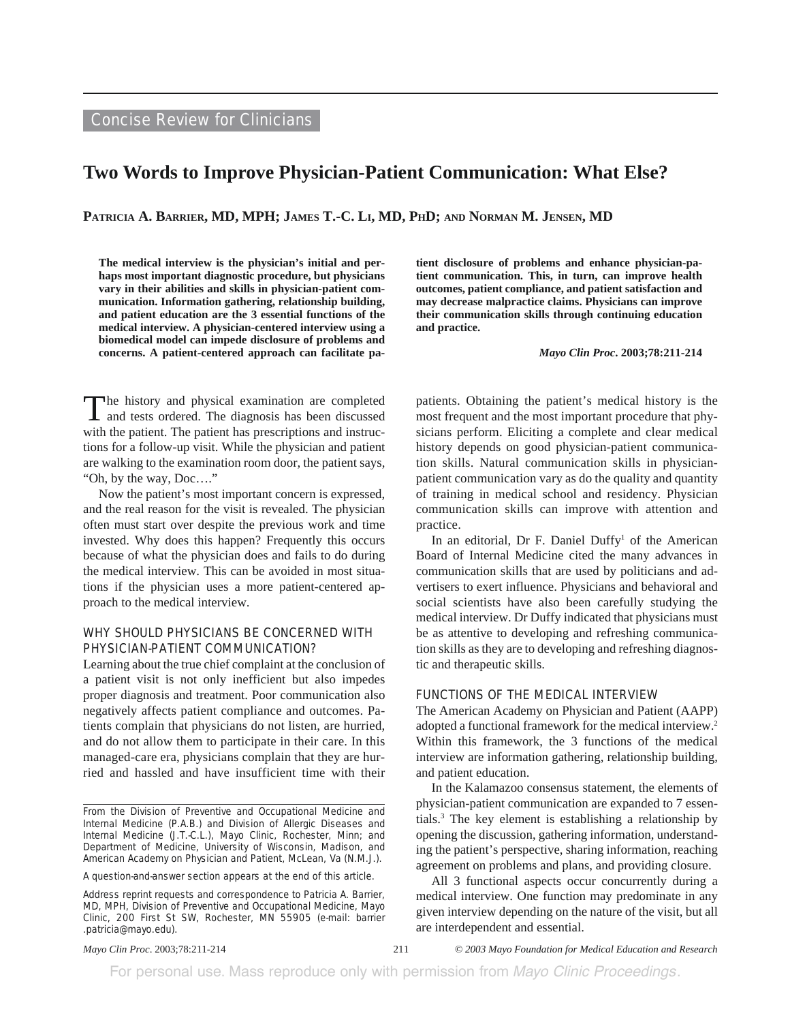# Concise Review for Clinicians

# **Two Words to Improve Physician-Patient Communication: What Else?**

**PATRICIA A. BARRIER, MD, MPH; JAMES T.-C. LI, MD, PHD; AND NORMAN M. JENSEN, MD**

**The medical interview is the physician's initial and perhaps most important diagnostic procedure, but physicians vary in their abilities and skills in physician-patient communication. Information gathering, relationship building, and patient education are the 3 essential functions of the medical interview. A physician-centered interview using a biomedical model can impede disclosure of problems and concerns. A patient-centered approach can facilitate pa-**

The history and physical examination are completed<br>and tests ordered. The diagnosis has been discussed with the patient. The patient has prescriptions and instructions for a follow-up visit. While the physician and patient are walking to the examination room door, the patient says, "Oh, by the way, Doc…."

Now the patient's most important concern is expressed, and the real reason for the visit is revealed. The physician often must start over despite the previous work and time invested. Why does this happen? Frequently this occurs because of what the physician does and fails to do during the medical interview. This can be avoided in most situations if the physician uses a more patient-centered approach to the medical interview.

# WHY SHOULD PHYSICIANS BE CONCERNED WITH PHYSICIAN-PATIENT COMMUNICATION?

Learning about the true chief complaint at the conclusion of a patient visit is not only inefficient but also impedes proper diagnosis and treatment. Poor communication also negatively affects patient compliance and outcomes. Patients complain that physicians do not listen, are hurried, and do not allow them to participate in their care. In this managed-care era, physicians complain that they are hurried and hassled and have insufficient time with their

A question-and-answer section appears at the end of this article.

Address reprint requests and correspondence to Patricia A. Barrier, MD, MPH, Division of Preventive and Occupational Medicine, Mayo Clinic, 200 First St SW, Rochester, MN 55905 (e-mail: barrier .patricia@mayo.edu).

**tient disclosure of problems and enhance physician-patient communication. This, in turn, can improve health outcomes, patient compliance, and patient satisfaction and may decrease malpractice claims. Physicians can improve their communication skills through continuing education and practice.**

*Mayo Clin Proc***. 2003;78:211-214**

patients. Obtaining the patient's medical history is the most frequent and the most important procedure that physicians perform. Eliciting a complete and clear medical history depends on good physician-patient communication skills. Natural communication skills in physicianpatient communication vary as do the quality and quantity of training in medical school and residency. Physician communication skills can improve with attention and practice.

In an editorial, Dr F. Daniel Duffy<sup>1</sup> of the American Board of Internal Medicine cited the many advances in communication skills that are used by politicians and advertisers to exert influence. Physicians and behavioral and social scientists have also been carefully studying the medical interview. Dr Duffy indicated that physicians must be as attentive to developing and refreshing communication skills as they are to developing and refreshing diagnostic and therapeutic skills.

### FUNCTIONS OF THE MEDICAL INTERVIEW

The American Academy on Physician and Patient (AAPP) adopted a functional framework for the medical interview.<sup>2</sup> Within this framework, the 3 functions of the medical interview are information gathering, relationship building, and patient education.

In the Kalamazoo consensus statement, the elements of physician-patient communication are expanded to 7 essentials.3 The key element is establishing a relationship by opening the discussion, gathering information, understanding the patient's perspective, sharing information, reaching agreement on problems and plans, and providing closure.

All 3 functional aspects occur concurrently during a medical interview. One function may predominate in any given interview depending on the nature of the visit, but all are interdependent and essential.

*Mayo Clin Proc*. 2003;78:211-214 211 *© 2003 Mayo Foundation for Medical Education and Research*

For personal use. Mass reproduce only with permission from *Mayo Clinic Proceedings*.

From the Division of Preventive and Occupational Medicine and Internal Medicine (P.A.B.) and Division of Allergic Diseases and Internal Medicine (J.T.-C.L.), Mayo Clinic, Rochester, Minn; and Department of Medicine, University of Wisconsin, Madison, and American Academy on Physician and Patient, McLean, Va (N.M.J.).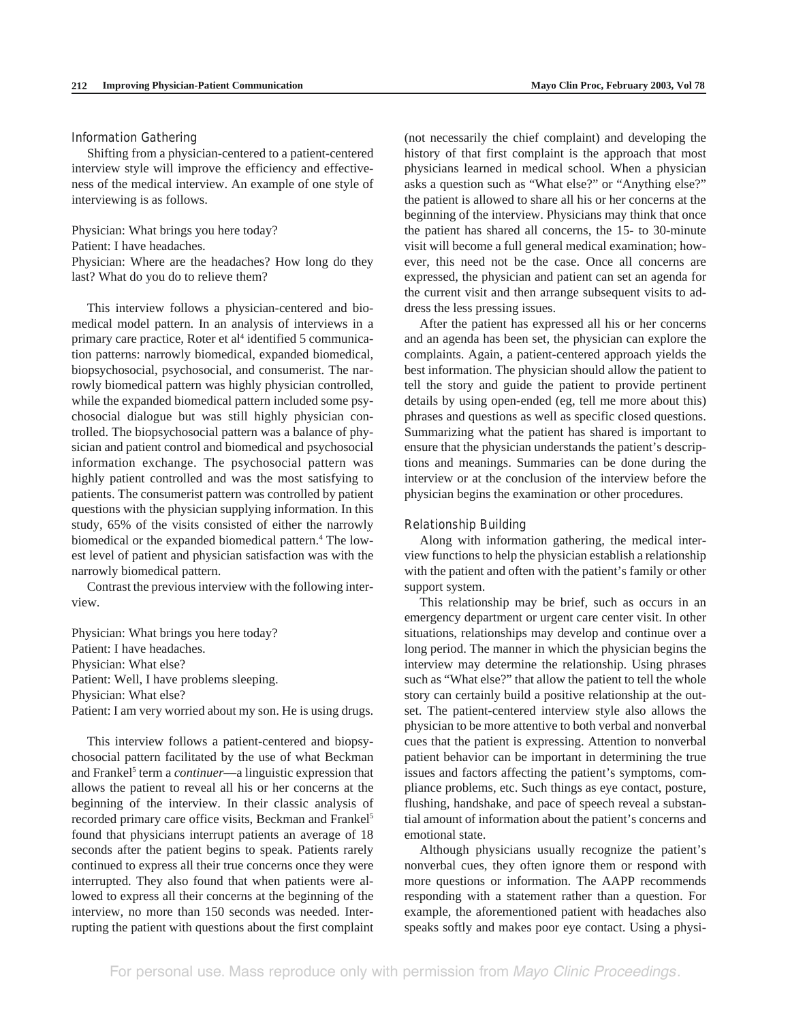#### Information Gathering

Shifting from a physician-centered to a patient-centered interview style will improve the efficiency and effectiveness of the medical interview. An example of one style of interviewing is as follows.

Physician: What brings you here today?

Patient: I have headaches.

Physician: Where are the headaches? How long do they last? What do you do to relieve them?

This interview follows a physician-centered and biomedical model pattern. In an analysis of interviews in a primary care practice, Roter et al<sup>4</sup> identified 5 communication patterns: narrowly biomedical, expanded biomedical, biopsychosocial, psychosocial, and consumerist. The narrowly biomedical pattern was highly physician controlled, while the expanded biomedical pattern included some psychosocial dialogue but was still highly physician controlled. The biopsychosocial pattern was a balance of physician and patient control and biomedical and psychosocial information exchange. The psychosocial pattern was highly patient controlled and was the most satisfying to patients. The consumerist pattern was controlled by patient questions with the physician supplying information. In this study, 65% of the visits consisted of either the narrowly biomedical or the expanded biomedical pattern.<sup>4</sup> The lowest level of patient and physician satisfaction was with the narrowly biomedical pattern.

Contrast the previous interview with the following interview.

Physician: What brings you here today? Patient: I have headaches. Physician: What else? Patient: Well, I have problems sleeping. Physician: What else? Patient: I am very worried about my son. He is using drugs.

This interview follows a patient-centered and biopsychosocial pattern facilitated by the use of what Beckman and Frankel<sup>5</sup> term a *continuer*—a linguistic expression that allows the patient to reveal all his or her concerns at the beginning of the interview. In their classic analysis of recorded primary care office visits, Beckman and Frankel<sup>5</sup> found that physicians interrupt patients an average of 18 seconds after the patient begins to speak. Patients rarely continued to express all their true concerns once they were interrupted. They also found that when patients were allowed to express all their concerns at the beginning of the interview, no more than 150 seconds was needed. Interrupting the patient with questions about the first complaint

(not necessarily the chief complaint) and developing the history of that first complaint is the approach that most physicians learned in medical school. When a physician asks a question such as "What else?" or "Anything else?" the patient is allowed to share all his or her concerns at the beginning of the interview. Physicians may think that once the patient has shared all concerns, the 15- to 30-minute visit will become a full general medical examination; however, this need not be the case. Once all concerns are expressed, the physician and patient can set an agenda for the current visit and then arrange subsequent visits to address the less pressing issues.

After the patient has expressed all his or her concerns and an agenda has been set, the physician can explore the complaints. Again, a patient-centered approach yields the best information. The physician should allow the patient to tell the story and guide the patient to provide pertinent details by using open-ended (eg, tell me more about this) phrases and questions as well as specific closed questions. Summarizing what the patient has shared is important to ensure that the physician understands the patient's descriptions and meanings. Summaries can be done during the interview or at the conclusion of the interview before the physician begins the examination or other procedures.

#### Relationship Building

Along with information gathering, the medical interview functions to help the physician establish a relationship with the patient and often with the patient's family or other support system.

This relationship may be brief, such as occurs in an emergency department or urgent care center visit. In other situations, relationships may develop and continue over a long period. The manner in which the physician begins the interview may determine the relationship. Using phrases such as "What else?" that allow the patient to tell the whole story can certainly build a positive relationship at the outset. The patient-centered interview style also allows the physician to be more attentive to both verbal and nonverbal cues that the patient is expressing. Attention to nonverbal patient behavior can be important in determining the true issues and factors affecting the patient's symptoms, compliance problems, etc. Such things as eye contact, posture, flushing, handshake, and pace of speech reveal a substantial amount of information about the patient's concerns and emotional state.

Although physicians usually recognize the patient's nonverbal cues, they often ignore them or respond with more questions or information. The AAPP recommends responding with a statement rather than a question. For example, the aforementioned patient with headaches also speaks softly and makes poor eye contact. Using a physi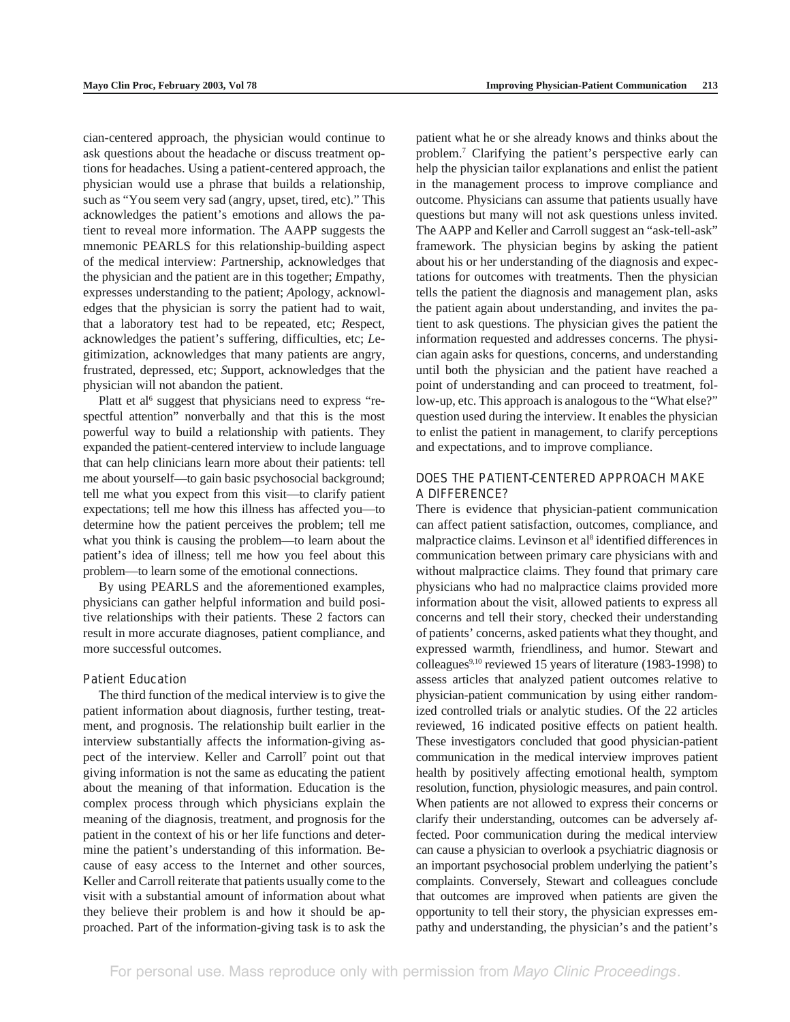cian-centered approach, the physician would continue to ask questions about the headache or discuss treatment options for headaches. Using a patient-centered approach, the physician would use a phrase that builds a relationship, such as "You seem very sad (angry, upset, tired, etc)." This acknowledges the patient's emotions and allows the patient to reveal more information. The AAPP suggests the mnemonic PEARLS for this relationship-building aspect of the medical interview: *P*artnership, acknowledges that the physician and the patient are in this together; *E*mpathy, expresses understanding to the patient; *A*pology, acknowledges that the physician is sorry the patient had to wait, that a laboratory test had to be repeated, etc; *R*espect, acknowledges the patient's suffering, difficulties, etc; *L*egitimization, acknowledges that many patients are angry, frustrated, depressed, etc; *S*upport, acknowledges that the physician will not abandon the patient.

Platt et al<sup>6</sup> suggest that physicians need to express "respectful attention" nonverbally and that this is the most powerful way to build a relationship with patients. They expanded the patient-centered interview to include language that can help clinicians learn more about their patients: tell me about yourself—to gain basic psychosocial background; tell me what you expect from this visit—to clarify patient expectations; tell me how this illness has affected you—to determine how the patient perceives the problem; tell me what you think is causing the problem—to learn about the patient's idea of illness; tell me how you feel about this problem—to learn some of the emotional connections.

By using PEARLS and the aforementioned examples, physicians can gather helpful information and build positive relationships with their patients. These 2 factors can result in more accurate diagnoses, patient compliance, and more successful outcomes.

#### Patient Education

The third function of the medical interview is to give the patient information about diagnosis, further testing, treatment, and prognosis. The relationship built earlier in the interview substantially affects the information-giving aspect of the interview. Keller and Carroll<sup>7</sup> point out that giving information is not the same as educating the patient about the meaning of that information. Education is the complex process through which physicians explain the meaning of the diagnosis, treatment, and prognosis for the patient in the context of his or her life functions and determine the patient's understanding of this information. Because of easy access to the Internet and other sources, Keller and Carroll reiterate that patients usually come to the visit with a substantial amount of information about what they believe their problem is and how it should be approached. Part of the information-giving task is to ask the

patient what he or she already knows and thinks about the problem.7 Clarifying the patient's perspective early can help the physician tailor explanations and enlist the patient in the management process to improve compliance and outcome. Physicians can assume that patients usually have questions but many will not ask questions unless invited. The AAPP and Keller and Carroll suggest an "ask-tell-ask" framework. The physician begins by asking the patient about his or her understanding of the diagnosis and expectations for outcomes with treatments. Then the physician tells the patient the diagnosis and management plan, asks the patient again about understanding, and invites the patient to ask questions. The physician gives the patient the information requested and addresses concerns. The physician again asks for questions, concerns, and understanding until both the physician and the patient have reached a point of understanding and can proceed to treatment, follow-up, etc. This approach is analogous to the "What else?" question used during the interview. It enables the physician to enlist the patient in management, to clarify perceptions and expectations, and to improve compliance.

# DOES THE PATIENT-CENTERED APPROACH MAKE A DIFFERENCE?

There is evidence that physician-patient communication can affect patient satisfaction, outcomes, compliance, and malpractice claims. Levinson et al<sup>8</sup> identified differences in communication between primary care physicians with and without malpractice claims. They found that primary care physicians who had no malpractice claims provided more information about the visit, allowed patients to express all concerns and tell their story, checked their understanding of patients' concerns, asked patients what they thought, and expressed warmth, friendliness, and humor. Stewart and colleagues<sup>9,10</sup> reviewed 15 years of literature (1983-1998) to assess articles that analyzed patient outcomes relative to physician-patient communication by using either randomized controlled trials or analytic studies. Of the 22 articles reviewed, 16 indicated positive effects on patient health. These investigators concluded that good physician-patient communication in the medical interview improves patient health by positively affecting emotional health, symptom resolution, function, physiologic measures, and pain control. When patients are not allowed to express their concerns or clarify their understanding, outcomes can be adversely affected. Poor communication during the medical interview can cause a physician to overlook a psychiatric diagnosis or an important psychosocial problem underlying the patient's complaints. Conversely, Stewart and colleagues conclude that outcomes are improved when patients are given the opportunity to tell their story, the physician expresses empathy and understanding, the physician's and the patient's